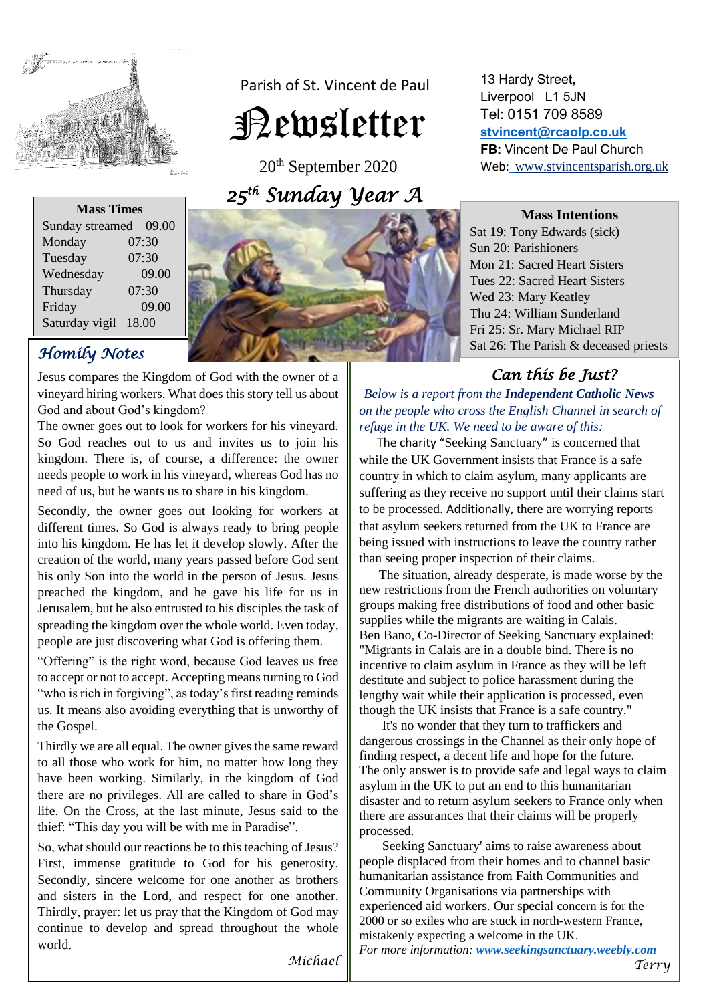

 Parish of St. Vincent de Paul Newsletter

20th September 2020 *25 th Sunday Year A* 

| <b>Mass Times</b> |       |
|-------------------|-------|
| Sunday streamed   | 09.00 |
| Monday            | 07:30 |
| Tuesday           | 07:30 |
| Wednesday         | 09.00 |
| Thursday          | 07:30 |
| Friday            | 09.00 |
| Saturday vigil    | 18.00 |

# *Homily Notes*

Jesus compares the Kingdom of God with the owner of a vineyard hiring workers. What does this story tell us about God and about God's kingdom?

The owner goes out to look for workers for his vineyard. So God reaches out to us and invites us to join his kingdom. There is, of course, a difference: the owner needs people to work in his vineyard, whereas God has no need of us, but he wants us to share in his kingdom.

Secondly, the owner goes out looking for workers at different times. So God is always ready to bring people into his kingdom. He has let it develop slowly. After the creation of the world, many years passed before God sent his only Son into the world in the person of Jesus. Jesus preached the kingdom, and he gave his life for us in Jerusalem, but he also entrusted to his disciples the task of spreading the kingdom over the whole world. Even today, people are just discovering what God is offering them.

"Offering" is the right word, because God leaves us free to accept or not to accept. Accepting means turning to God "who is rich in forgiving", as today's first reading reminds us. It means also avoiding everything that is unworthy of the Gospel.

Thirdly we are all equal. The owner gives the same reward to all those who work for him, no matter how long they have been working. Similarly, in the kingdom of God there are no privileges. All are called to share in God's life. On the Cross, at the last minute, Jesus said to the thief: "This day you will be with me in Paradise".

So, what should our reactions be to this teaching of Jesus? First, immense gratitude to God for his generosity. Secondly, sincere welcome for one another as brothers and sisters in the Lord, and respect for one another. Thirdly, prayer: let us pray that the Kingdom of God may continue to develop and spread throughout the whole world.

# Web: www.stvincentsparish.org.uk



13 Hardy Street, Liverpool L1 5JN Tel: 0151 709 8589 **[stvincent@rcaolp.co.uk](mailto:stvincent@rcaolp.co.uk) FB:** Vincent De Paul Church

# *Can this be Just?*

 *Below is a report from the Independent Catholic News on the people who cross the English Channel in search of refuge in the UK. We need to be aware of this:* 

 The charity "Seeking Sanctuary" is concerned that while the UK Government insists that France is a safe country in which to claim asylum, many applicants are suffering as they receive no support until their claims start to be processed. Additionally, there are worrying reports that asylum seekers returned from the UK to France are being issued with instructions to leave the country rather than seeing proper inspection of their claims.

 The situation, already desperate, is made worse by the new restrictions from the French authorities on voluntary groups making free distributions of food and other basic supplies while the migrants are waiting in Calais. Ben Bano, Co-Director of Seeking Sanctuary explained: "Migrants in Calais are in a double bind. There is no incentive to claim asylum in France as they will be left destitute and subject to police harassment during the lengthy wait while their application is processed, even though the UK insists that France is a safe country."

 It's no wonder that they turn to traffickers and dangerous crossings in the Channel as their only hope of finding respect, a decent life and hope for the future. The only answer is to provide safe and legal ways to claim asylum in the UK to put an end to this humanitarian disaster and to return asylum seekers to France only when there are assurances that their claims will be properly processed.

 Seeking Sanctuary' aims to raise awareness about people displaced from their homes and to channel basic humanitarian assistance from Faith Communities and Community Organisations via partnerships with experienced aid workers. Our special concern is for the 2000 or so exiles who are stuck in north-western France, mistakenly expecting a welcome in the UK. *For more information: [www.seekingsanctuary.weebly.com](https://www.seekingsanctuary.weebly.com/)*

*Michael* 

*Terry*